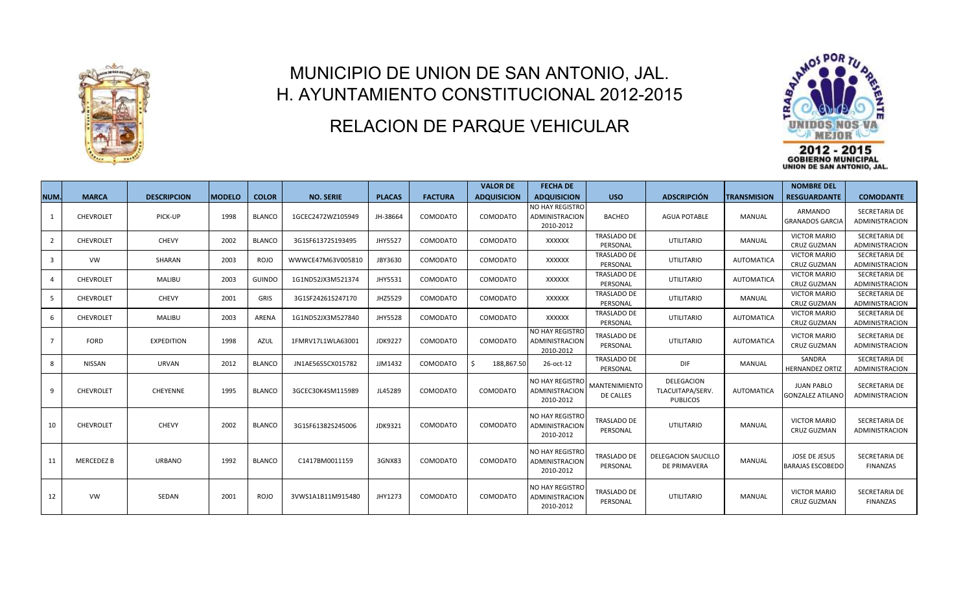

## MUNICIPIO DE UNION DE SAN ANTONIO, JAL. H. AYUNTAMIENTO CONSTITUCIONAL 2012-2015

## RELACION DE PARQUE VEHICULAR



**NUM. MARCA DESCRIPCION MODELO COLOR NO. SERIE PLACAS FACTURA VALOR DE ADQUISICION FECHA DE ADQUISICION USO ADSCRIPCIÓN TRANSMISION NOMBRE DEL RESGUARDANTE COMODANTE** 1 CHEVROLET PICK-UP 1998 BLANCO 1GCEC2472WZ105949 JH-38664 COMODATO COMODATO NO HAY REGISTRO ADMINISTRACION 2010-2012 BACHEO AGUA POTABLE | MANUAL ARMANDO GRANADOS GARCIA SECRETARIA DE ADMINISTRACION 2 | CHEVROLET | CHEVY | 2002 |BLANCO | 3G1SF61372S193495 | JHY5527 | COMODATO | COMODATO | XXXXXX TRASLADO DE PERSONAL UTILITARIO | MANUAL VICTOR MARIO CRUZ GUZMAN SECRETARIA DE ADMINISTRACION 3 J VW J SHARAN 2003 ROJO WWWCE47M63V005810 JBY3630 COMODATO COMODATO XXXXXX TRASLADO DE PERSONAL UTILITARIO **AUTOMATICA** VICTOR MARIO CRUZ GUZMAN SECRETARIA DE ADMINISTRACION 4 CHEVROLET | MALIBU | 2003 | GUINDO | 1G1ND52JX3M521374 | JHY5531 | COMODATO | COMODATO | XXXXXX TRASLADO DE PERSONAL UTILITARIO **AUTOMATICA** VICTOR MARIO CRUZ GUZMAN SECRETARIA DE ADMINISTRACION 5 | CHEVROLET | CHEVY | 2001 | GRIS | 3G1SF24261S247170 | JHZ5529 | COMODATO | COMODATO | XXXXXX TRASLADO DE PERSONAL UTILITARIO | MANUAL VICTOR MARIO CRUZ GUZMAN SECRETARIA DE ADMINISTRACION 6 CHEVROLET MALIBU 2003 ARENA 1G1ND52JX3M527840 JHY5528 COMODATO COMODATO XXXXXX TRASLADO DE PERSONAL UTILITARIO | AUTOMATICA VICTOR MARIO CRUZ GUZMAN SECRETARIA DE ADMINISTRACION 7 | FORD | EXPEDITION | 1998 | AZUL | 1FMRV17L1WLA63001 | JDK9227 | COMODATO | COMODATO NO HAY REGISTRO ADMINISTRACION 2010-2012 TRASLADO DE PERSONAL UTILITARIO **AUTOMATICA** VICTOR MARIO CRUZ GUZMAN SECRETARIA DE ADMINISTRACION 8 | NISSAN | URVAN | 2012 |BLANCO | JN1AE56S5CX015782 | JJM1432 | COMODATO |\$ 188,867.50 |26-oct-12 TRASLADO DE PERSONAL DIF MANUAL SANDRA HERNANDEZ ORTIZ SECRETARIA DE ADMINISTRACION 9 CHEVROLET CHEYENNE 1995 BLANCO 3GCEC30K4SM115989 JL45289 COMODATO COMODATO NO HAY REGISTRO ADMINISTRACION 2010-2012 MANTENIMIENTO DE CALLES DELEGACION TLACUITAPA/SERV. PUBLICOS AUTOMATICA JUAN PABLO GONZALEZ ATILANO SECRETARIA DE ADMINISTRACION 10 CHEVROLET CHEVY 2002 BLANCO 3G1SF61382S245006 JDK9321 COMODATO COMODATO NO HAY REGISTRO ADMINISTRACION 2010-2012 TRASLADO DE PERSONAL UTILITARIO MANUAL VICTOR MARIO CRUZ GUZMAN SECRETARIA DE ADMINISTRACION 11 | MERCEDEZ B | URBANO | 1992 | BLANCO | C1417BM0011159 | 3GNX83 | COMODATO | COMODATO NO HAY REGISTRO ADMINISTRACION 2010-2012 TRASLADO DE PERSONAL DELEGACION SAUCILLO DE PRIMAVERA MANUAL JOSE DE JESUS BARAJAS ESCOBEDO SECRETARIA DE FINANZAS 12 VW SEDAN 2001 ROJO 3VWS1A1B11M915480 JHY1273 COMODATO COMODATO NO HAY REGISTRO ADMINISTRACION 2010-2012 TRASLADO DE PERSONAL UTILITARIO MANUAL VICTOR MARIO CRUZ GUZMAN SECRETARIA DE FINANZAS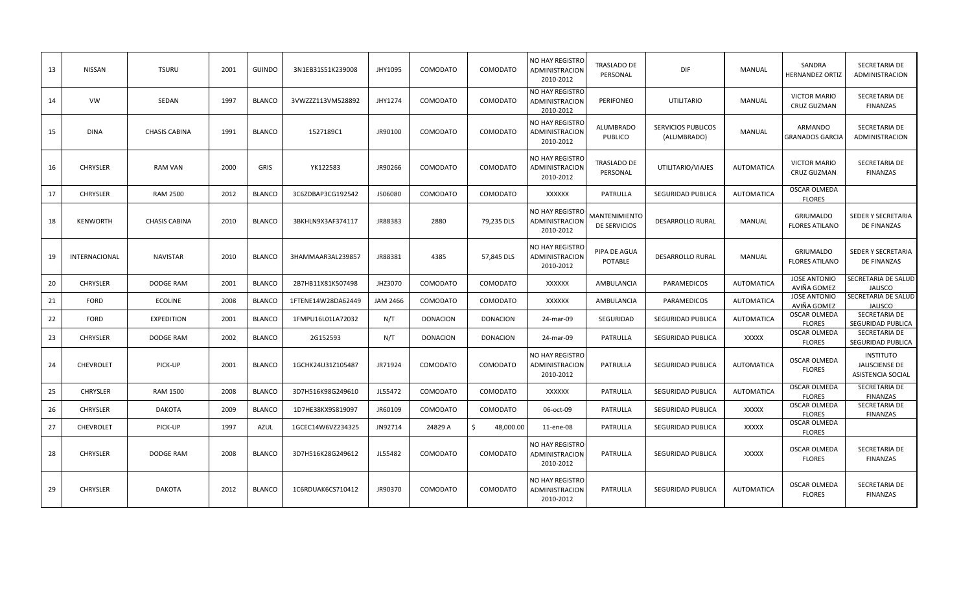| 13 | <b>NISSAN</b>    | <b>TSURU</b>         | 2001 | <b>GUINDO</b> | 3N1EB31S51K239008  | JHY1095         | COMODATO        | COMODATO        | NO HAY REGISTRO<br>ADMINISTRACION<br>2010-2012 | TRASLADO DE<br>PERSONAL              | DIF                                      | MANUAL            | SANDRA<br><b>HERNANDEZ ORTIZ</b>          | SECRETARIA DE<br>ADMINISTRACION                                |
|----|------------------|----------------------|------|---------------|--------------------|-----------------|-----------------|-----------------|------------------------------------------------|--------------------------------------|------------------------------------------|-------------------|-------------------------------------------|----------------------------------------------------------------|
| 14 | <b>VW</b>        | SEDAN                | 1997 | <b>BLANCO</b> | 3VWZZZ113VM528892  | JHY1274         | COMODATO        | COMODATO        | NO HAY REGISTRO<br>ADMINISTRACION<br>2010-2012 | PERIFONEO                            | <b>UTILITARIO</b>                        | <b>MANUAL</b>     | <b>VICTOR MARIO</b><br><b>CRUZ GUZMAN</b> | SECRETARIA DE<br>FINANZAS                                      |
| 15 | <b>DINA</b>      | <b>CHASIS CABINA</b> | 1991 | <b>BLANCO</b> | 1527189C1          | JR90100         | COMODATO        | COMODATO        | NO HAY REGISTRO<br>ADMINISTRACION<br>2010-2012 | <b>ALUMBRADO</b><br><b>PUBLICO</b>   | <b>SERVICIOS PUBLICOS</b><br>(ALUMBRADO) | <b>MANUAL</b>     | ARMANDO<br><b>GRANADOS GARCIA</b>         | SECRETARIA DE<br>ADMINISTRACION                                |
| 16 | <b>CHRYSLER</b>  | <b>RAM VAN</b>       | 2000 | <b>GRIS</b>   | YK122583           | JR90266         | COMODATO        | COMODATO        | NO HAY REGISTRO<br>ADMINISTRACION<br>2010-2012 | <b>TRASLADO DE</b><br>PERSONAL       | UTILITARIO/VIAJES                        | <b>AUTOMATICA</b> | <b>VICTOR MARIO</b><br>CRUZ GUZMAN        | SECRETARIA DE<br>FINANZAS                                      |
| 17 | <b>CHRYSLER</b>  | <b>RAM 2500</b>      | 2012 | <b>BLANCO</b> | 3C6ZDBAP3CG192542  | JS06080         | COMODATO        | COMODATO        | XXXXXX                                         | PATRULLA                             | SEGURIDAD PUBLICA                        | <b>AUTOMATICA</b> | OSCAR OLMEDA<br><b>FLORES</b>             |                                                                |
| 18 | <b>KENWORTH</b>  | <b>CHASIS CABINA</b> | 2010 | <b>BLANCO</b> | 3BKHLN9X3AF374117  | JR88383         | 2880            | 79,235 DLS      | NO HAY REGISTRO<br>ADMINISTRACION<br>2010-2012 | MANTENIMIENTO<br><b>DE SERVICIOS</b> | <b>DESARROLLO RURAL</b>                  | <b>MANUAL</b>     | <b>GRIUMALDO</b><br><b>FLORES ATILANO</b> | SEDER Y SECRETARIA<br><b>DE FINANZAS</b>                       |
| 19 | INTERNACIONAL    | <b>NAVISTAR</b>      | 2010 | <b>BLANCO</b> | 3HAMMAAR3AL239857  | JR88381         | 4385            | 57,845 DLS      | NO HAY REGISTRO<br>ADMINISTRACION<br>2010-2012 | PIPA DE AGUA<br>POTABLE              | <b>DESARROLLO RURAL</b>                  | <b>MANUAL</b>     | GRIUMALDO<br><b>FLORES ATILANO</b>        | SEDER Y SECRETARIA<br>DE FINANZAS                              |
| 20 | <b>CHRYSLER</b>  | DODGE RAM            | 2001 | <b>BLANCO</b> | 2B7HB11X81K507498  | JHZ3070         | COMODATO        | COMODATO        | XXXXXX                                         | AMBULANCIA                           | PARAMEDICOS                              | <b>AUTOMATICA</b> | <b>JOSE ANTONIO</b><br>AVIÑA GOMEZ        | SECRETARIA DE SALUD<br><b>JALISCO</b>                          |
| 21 | <b>FORD</b>      | <b>ECOLINE</b>       | 2008 | <b>BLANCO</b> | 1FTENE14W28DA62449 | <b>JAM 2466</b> | COMODATO        | COMODATO        | XXXXXX                                         | AMBULANCIA                           | PARAMEDICOS                              | <b>AUTOMATICA</b> | <b>JOSE ANTONIO</b><br>AVIÑA GOMEZ        | SECRETARIA DE SALUD<br><b>JALISCO</b>                          |
| 22 | <b>FORD</b>      | <b>EXPEDITION</b>    | 2001 | <b>BLANCO</b> | 1FMPU16L01LA72032  | N/T             | <b>DONACION</b> | <b>DONACION</b> | 24-mar-09                                      | SEGURIDAD                            | SEGURIDAD PUBLICA                        | <b>AUTOMATICA</b> | <b>OSCAR OLMEDA</b><br><b>FLORES</b>      | SECRETARIA DE<br>SEGURIDAD PUBLICA                             |
| 23 | <b>CHRYSLER</b>  | DODGE RAM            | 2002 | <b>BLANCO</b> | 2G152593           | N/T             | <b>DONACION</b> | <b>DONACION</b> | 24-mar-09                                      | PATRULLA                             | SEGURIDAD PUBLICA                        | <b>XXXXX</b>      | <b>OSCAR OLMEDA</b><br><b>FLORES</b>      | SECRETARIA DE<br>SEGURIDAD PUBLICA                             |
| 24 | <b>CHEVROLET</b> | PICK-UP              | 2001 | <b>BLANCO</b> | 1GCHK24U31Z105487  | JR71924         | COMODATO        | COMODATO        | NO HAY REGISTRO<br>ADMINISTRACION<br>2010-2012 | PATRULLA                             | <b>SEGURIDAD PUBLICA</b>                 | <b>AUTOMATICA</b> | <b>OSCAR OLMEDA</b><br><b>FLORES</b>      | <b>INSTITUTO</b><br>JALISCIENSE DE<br><b>ASISTENCIA SOCIAL</b> |
| 25 | <b>CHRYSLER</b>  | <b>RAM 1500</b>      | 2008 | <b>BLANCO</b> | 3D7H516K98G249610  | JL55472         | COMODATO        | COMODATO        | XXXXXX                                         | PATRULLA                             | SEGURIDAD PUBLICA                        | <b>AUTOMATICA</b> | <b>OSCAR OLMEDA</b><br><b>FLORES</b>      | SECRETARIA DE<br><b>FINANZAS</b>                               |
| 26 | <b>CHRYSLER</b>  | <b>DAKOTA</b>        | 2009 | <b>BLANCO</b> | 1D7HE38KX9S819097  | JR60109         | COMODATO        | COMODATO        | 06-oct-09                                      | PATRULLA                             | SEGURIDAD PUBLICA                        | <b>XXXXX</b>      | <b>OSCAR OLMEDA</b><br><b>FLORES</b>      | SECRETARIA DE<br><b>FINANZAS</b>                               |
| 27 | <b>CHEVROLET</b> | PICK-UP              | 1997 | <b>AZUL</b>   | 1GCEC14W6VZ234325  | JN92714         | 24829 A         | \$<br>48,000.00 | 11-ene-08                                      | PATRULLA                             | SEGURIDAD PUBLICA                        | <b>XXXXX</b>      | <b>OSCAR OLMEDA</b><br><b>FLORES</b>      |                                                                |
| 28 | <b>CHRYSLER</b>  | <b>DODGE RAM</b>     | 2008 | <b>BLANCO</b> | 3D7H516K28G249612  | JL55482         | COMODATO        | COMODATO        | NO HAY REGISTRO<br>ADMINISTRACION<br>2010-2012 | PATRULLA                             | <b>SEGURIDAD PUBLICA</b>                 | <b>XXXXX</b>      | OSCAR OLMEDA<br><b>FLORES</b>             | SECRETARIA DE<br>FINANZAS                                      |
| 29 | <b>CHRYSLER</b>  | <b>DAKOTA</b>        | 2012 | <b>BLANCO</b> | 1C6RDUAK6CS710412  | JR90370         | COMODATO        | COMODATO        | NO HAY REGISTRO<br>ADMINISTRACION<br>2010-2012 | PATRULLA                             | SEGURIDAD PUBLICA                        | <b>AUTOMATICA</b> | OSCAR OLMEDA<br><b>FLORES</b>             | SECRETARIA DE<br><b>FINANZAS</b>                               |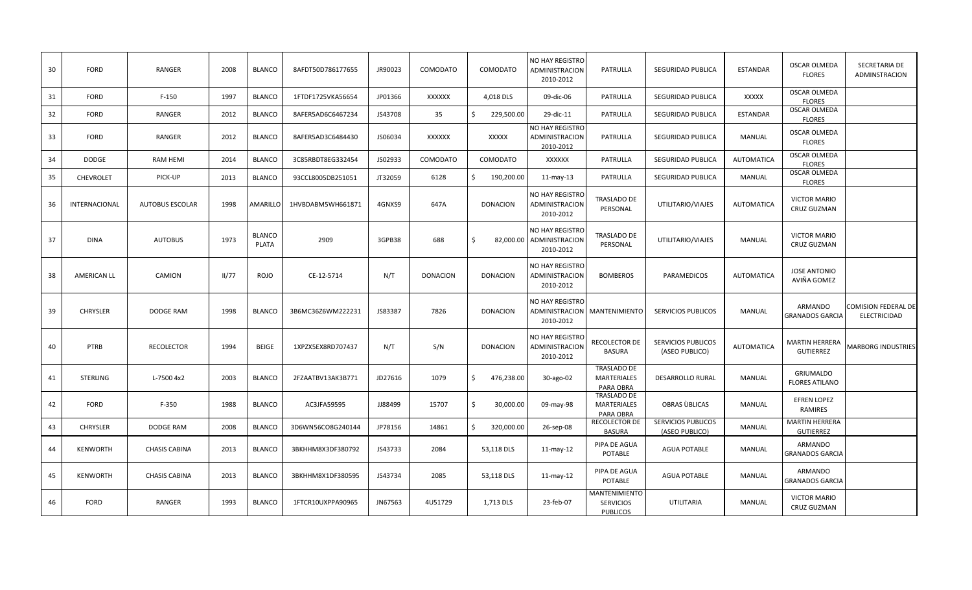| 30 | <b>FORD</b>        | <b>RANGER</b>          | 2008  | <b>BLANCO</b>          | 8AFDT50D786177655 | JR90023 | COMODATO        | COMODATO         | NO HAY REGISTRO<br>ADMINISTRACION<br>2010-2012           | PATRULLA                                              | <b>SEGURIDAD PUBLICA</b>                    | <b>ESTANDAR</b>   | <b>OSCAR OLMEDA</b><br><b>FLORES</b>      | SECRETARIA DE<br>ADMINSTRACION      |
|----|--------------------|------------------------|-------|------------------------|-------------------|---------|-----------------|------------------|----------------------------------------------------------|-------------------------------------------------------|---------------------------------------------|-------------------|-------------------------------------------|-------------------------------------|
| 31 | <b>FORD</b>        | $F-150$                | 1997  | <b>BLANCO</b>          | 1FTDF1725VKA56654 | JP01366 | XXXXXX          | 4,018 DLS        | 09-dic-06                                                | PATRULLA                                              | SEGURIDAD PUBLICA                           | XXXXX             | OSCAR OLMEDA<br><b>FLORES</b>             |                                     |
| 32 | <b>FORD</b>        | RANGER                 | 2012  | <b>BLANCO</b>          | 8AFER5AD6C6467234 | JS43708 | 35              | \$<br>229,500.00 | 29-dic-11                                                | PATRULLA                                              | SEGURIDAD PUBLICA                           | <b>ESTANDAR</b>   | OSCAR OLMEDA<br><b>FLORES</b>             |                                     |
| 33 | <b>FORD</b>        | RANGER                 | 2012  | <b>BLANCO</b>          | 8AFER5AD3C6484430 | JS06034 | XXXXXX          | XXXXX            | NO HAY REGISTRO<br>ADMINISTRACION<br>2010-2012           | PATRULLA                                              | <b>SEGURIDAD PUBLICA</b>                    | <b>MANUAL</b>     | OSCAR OLMEDA<br><b>FLORES</b>             |                                     |
| 34 | <b>DODGE</b>       | RAM HEMI               | 2014  | <b>BLANCO</b>          | 3C85RBDT8EG332454 | JS02933 | COMODATO        | COMODATO         | XXXXXX                                                   | PATRULLA                                              | SEGURIDAD PUBLICA                           | <b>AUTOMATICA</b> | <b>OSCAR OLMEDA</b><br><b>FLORES</b>      |                                     |
| 35 | CHEVROLET          | PICK-UP                | 2013  | <b>BLANCO</b>          | 93CCL8005DB251051 | JT32059 | 6128            | \$<br>190,200.00 | 11-may-13                                                | PATRULLA                                              | <b>SEGURIDAD PUBLICA</b>                    | MANUAL            | OSCAR OLMEDA<br><b>FLORES</b>             |                                     |
| 36 | INTERNACIONAL      | <b>AUTOBUS ESCOLAR</b> | 1998  | AMARILLO               | 1HVBDABM5WH661871 | 4GNXS9  | 647A            | <b>DONACION</b>  | NO HAY REGISTRO<br>ADMINISTRACION<br>2010-2012           | TRASLADO DE<br>PERSONAL                               | UTILITARIO/VIAJES                           | <b>AUTOMATICA</b> | <b>VICTOR MARIO</b><br>CRUZ GUZMAN        |                                     |
| 37 | DINA               | <b>AUTOBUS</b>         | 1973  | <b>BLANCO</b><br>PLATA | 2909              | 3GPB38  | 688             | Ś.               | NO HAY REGISTRO<br>82,000.00 ADMINISTRACION<br>2010-2012 | <b>TRASLADO DE</b><br>PERSONAL                        | UTILITARIO/VIAJES                           | MANUAL            | <b>VICTOR MARIO</b><br>CRUZ GUZMAN        |                                     |
| 38 | <b>AMERICAN LL</b> | CAMION                 | II/77 | <b>ROJO</b>            | CE-12-5714        | N/T     | <b>DONACION</b> | <b>DONACION</b>  | NO HAY REGISTRO<br>ADMINISTRACION<br>2010-2012           | <b>BOMBEROS</b>                                       | PARAMEDICOS                                 | <b>AUTOMATICA</b> | <b>JOSE ANTONIO</b><br>AVIÑA GOMEZ        |                                     |
| 39 | <b>CHRYSLER</b>    | DODGE RAM              | 1998  | <b>BLANCO</b>          | 3B6MC36Z6WM222231 | JS83387 | 7826            | <b>DONACION</b>  | <b>NO HAY REGISTRO</b><br>ADMINISTRACION<br>2010-2012    | MANTENIMIENTO                                         | <b>SERVICIOS PUBLICOS</b>                   | MANUAL            | ARMANDO<br><b>GRANADOS GARCIA</b>         | COMISION FEDERAL DE<br>ELECTRICIDAD |
| 40 | PTRB               | <b>RECOLECTOR</b>      | 1994  | <b>BEIGE</b>           | 1XPZX5EX8RD707437 | N/T     | S/N             | <b>DONACION</b>  | NO HAY REGISTRO<br>ADMINISTRACION<br>2010-2012           | RECOLECTOR DE<br>BASURA                               | <b>SERVICIOS PUBLICOS</b><br>(ASEO PUBLICO) | <b>AUTOMATICA</b> | <b>MARTIN HERRERA</b><br><b>GUTIERREZ</b> | <b>MARBORG INDUSTRIES</b>           |
| 41 | <b>STERLING</b>    | L-7500 4x2             | 2003  | <b>BLANCO</b>          | 2FZAATBV13AK3B771 | JD27616 | 1079            | \$<br>476,238.00 | 30-ago-02                                                | <b>TRASLADO DE</b><br><b>MARTERIALES</b><br>PARA OBRA | <b>DESARROLLO RURAL</b>                     | MANUAL            | <b>GRIUMALDO</b><br><b>FLORES ATILANO</b> |                                     |
| 42 | FORD               | $F-350$                | 1988  | <b>BLANCO</b>          | AC3JFA59595       | JJ88499 | 15707           | \$<br>30,000.00  | 09-may-98                                                | <b>TRASLADO DE</b><br>MARTERIALES<br>PARA OBRA        | OBRAS UBLICAS                               | MANUAL            | <b>EFREN LOPEZ</b><br><b>RAMIRES</b>      |                                     |
| 43 | <b>CHRYSLER</b>    | DODGE RAM              | 2008  | <b>BLANCO</b>          | 3D6WN56CO8G240144 | JP78156 | 14861           | \$<br>320,000.00 | 26-sep-08                                                | <b>RECOLECTOR DE</b><br><b>BASURA</b>                 | <b>SERVICIOS PUBLICOS</b><br>(ASEO PUBLICO) | <b>MANUAL</b>     | <b>MARTIN HERRERA</b><br><b>GUTIERREZ</b> |                                     |
| 44 | <b>KENWORTH</b>    | <b>CHASIS CABINA</b>   | 2013  | <b>BLANCO</b>          | 3BKHHM8X3DF380792 | JS43733 | 2084            | 53,118 DLS       | $11$ -may- $12$                                          | PIPA DE AGUA<br>POTABLE                               | <b>AGUA POTABLE</b>                         | <b>MANUAL</b>     | ARMANDO<br><b>GRANADOS GARCIA</b>         |                                     |
| 45 | <b>KENWORTH</b>    | <b>CHASIS CABINA</b>   | 2013  | <b>BLANCO</b>          | 3BKHHM8X1DF380595 | JS43734 | 2085            | 53,118 DLS       | $11$ -may- $12$                                          | PIPA DE AGUA<br>POTABLE                               | <b>AGUA POTABLE</b>                         | <b>MANUAL</b>     | ARMANDO<br><b>GRANADOS GARCIA</b>         |                                     |
| 46 | FORD               | RANGER                 | 1993  | <b>BLANCO</b>          | 1FTCR10UXPPA90965 | JN67563 | 4U51729         | 1,713 DLS        | 23-feb-07                                                | MANTENIMIENTO<br><b>SERVICIOS</b><br><b>PUBLICOS</b>  | <b>UTILITARIA</b>                           | <b>MANUAL</b>     | <b>VICTOR MARIO</b><br>CRUZ GUZMAN        |                                     |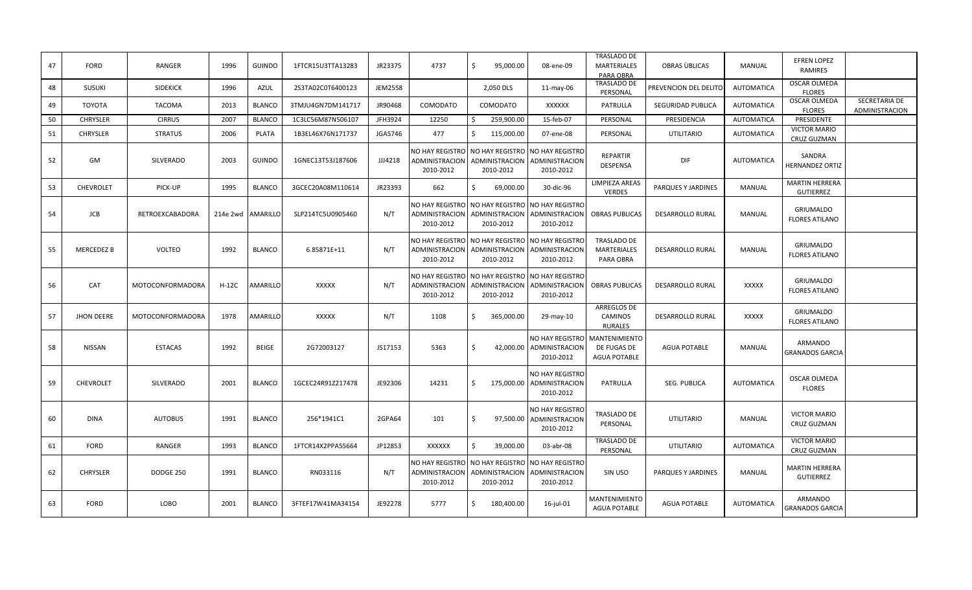| 47 | <b>FORD</b>       | RANGER                  | 1996    | <b>GUINDO</b>       | 1FTCR15U3TTA13283 | JR23375        | 4737                                                  | 95,000.00<br>Ŝ.                                                                                 | 08-ene-09                                                                       | <b>TRASLADO DE</b><br><b>MARTERIALES</b><br>PARA OBRA      | OBRAS UBLICAS           | <b>MANUAL</b>     | <b>EFREN LOPEZ</b><br><b>RAMIRES</b>      |                                 |
|----|-------------------|-------------------------|---------|---------------------|-------------------|----------------|-------------------------------------------------------|-------------------------------------------------------------------------------------------------|---------------------------------------------------------------------------------|------------------------------------------------------------|-------------------------|-------------------|-------------------------------------------|---------------------------------|
| 48 | <b>SUSUKI</b>     | <b>SIDEKICK</b>         | 1996    | <b>AZUL</b>         | 2S3TA02C0T6400123 | <b>JEM2558</b> |                                                       | 2,050 DLS                                                                                       | $11$ -may-06                                                                    | TRASLADO DE<br>PERSONAL                                    | PREVENCION DEL DELITO   | <b>AUTOMATICA</b> | OSCAR OLMEDA<br><b>FLORES</b>             |                                 |
| 49 | TOYOTA            | <b>TACOMA</b>           | 2013    | <b>BLANCO</b>       | 3TMJU4GN7DM141717 | JR90468        | COMODATO                                              | COMODATO                                                                                        | <b>XXXXXX</b>                                                                   | PATRULLA                                                   | SEGURIDAD PUBLICA       | <b>AUTOMATICA</b> | OSCAR OLMEDA<br><b>FLORES</b>             | SECRETARIA DE<br>ADMINISTRACION |
| 50 | <b>CHRYSLER</b>   | <b>CIRRUS</b>           | 2007    | <b>BLANCO</b>       | 1C3LC56M87N506107 | JFH3924        | 12250                                                 | 259,900.00<br>\$                                                                                | 15-feb-07                                                                       | PERSONAL                                                   | PRESIDENCIA             | AUTOMATICA        | PRESIDENTE                                |                                 |
| 51 | <b>CHRYSLER</b>   | <b>STRATUS</b>          | 2006    | <b>PLATA</b>        | 1B3EL46X76N171737 | JGA5746        | 477                                                   | \$<br>115,000.00                                                                                | 07-ene-08                                                                       | PERSONAL                                                   | UTILITARIO              | <b>AUTOMATICA</b> | <b>VICTOR MARIO</b><br>CRUZ GUZMAN        |                                 |
| 52 | GM                | <b>SILVERADO</b>        | 2003    | <b>GUINDO</b>       | 1GNEC13T53J187606 | JJJ4218        | <b>ADMINISTRACION</b><br>2010-2012                    | NO HAY REGISTRO NO HAY REGISTRO NO HAY REGISTRO<br>ADMINISTRACION   ADMINISTRACION<br>2010-2012 | 2010-2012                                                                       | <b>REPARTIR</b><br><b>DESPENSA</b>                         | DIF                     | <b>AUTOMATICA</b> | SANDRA<br><b>HERNANDEZ ORTIZ</b>          |                                 |
| 53 | CHEVROLET         | PICK-UP                 | 1995    | <b>BLANCO</b>       | 3GCEC20A08M110614 | JR23393        | 662                                                   | Ś.<br>69,000.00                                                                                 | 30-dic-96                                                                       | <b>LIMPIEZA AREAS</b><br><b>VERDES</b>                     | PARQUES Y JARDINES      | MANUAL            | <b>MARTIN HERRERA</b><br><b>GUTIERREZ</b> |                                 |
| 54 | JCB               | RETROEXCABADORA         |         | 214e 2wd   AMARILLO | SLP214TC5U0905460 | N/T            | ADMINISTRACION<br>2010-2012                           | NO HAY REGISTRO NO HAY REGISTRO NO HAY REGISTRO<br>ADMINISTRACION<br>2010-2012                  | ADMINISTRACION<br>2010-2012                                                     | <b>OBRAS PUBLICAS</b>                                      | <b>DESARROLLO RURAL</b> | MANUAL            | GRIUMALDO<br><b>FLORES ATILANO</b>        |                                 |
| 55 | <b>MERCEDEZ B</b> | <b>VOLTEO</b>           | 1992    | <b>BLANCO</b>       | 6.85871E+11       | N/T            | NO HAY REGISTRO<br>ADMINISTRACION<br>2010-2012        | NO HAY REGISTRO<br>ADMINISTRACION<br>2010-2012                                                  | <b>NO HAY REGISTRO</b><br>ADMINISTRACION<br>2010-2012                           | <b>TRASLADO DE</b><br><b>MARTERIALES</b><br>PARA OBRA      | <b>DESARROLLO RURAL</b> | <b>MANUAL</b>     | GRIUMALDO<br><b>FLORES ATILANO</b>        |                                 |
| 56 | CAT               | <b>MOTOCONFORMADORA</b> | $H-12C$ | <b>AMARILLO</b>     | <b>XXXXX</b>      | N/T            | NO HAY REGISTRO<br><b>ADMINISTRACION</b><br>2010-2012 | 2010-2012                                                                                       | NO HAY REGISTRO NO HAY REGISTRO<br>ADMINISTRACION   ADMINISTRACION<br>2010-2012 | <b>OBRAS PUBLICAS</b>                                      | <b>DESARROLLO RURAL</b> | <b>XXXXX</b>      | GRIUMALDO<br><b>FLORES ATILANO</b>        |                                 |
| 57 | <b>JHON DEERE</b> | <b>MOTOCONFORMADORA</b> | 1978    | AMARILLO            | XXXXX             | N/T            | 1108                                                  | \$<br>365,000.00                                                                                | 29-may-10                                                                       | ARREGLOS DE<br><b>CAMINOS</b><br><b>RURALES</b>            | <b>DESARROLLO RURAL</b> | XXXXX             | <b>GRIUMALDO</b><br><b>FLORES ATILANO</b> |                                 |
| 58 | NISSAN            | <b>ESTACAS</b>          | 1992    | <b>BEIGE</b>        | 2G72003127        | JS17153        | 5363                                                  | Ś.                                                                                              | NO HAY REGISTRO<br>42,000.00 ADMINISTRACION<br>2010-2012                        | <b>MANTENIMIENTO</b><br>DE FUGAS DE<br><b>AGUA POTABLE</b> | <b>AGUA POTABLE</b>     | <b>MANUAL</b>     | ARMANDO<br><b>GRANADOS GARCIA</b>         |                                 |
| 59 | <b>CHEVROLET</b>  | <b>SILVERADO</b>        | 2001    | <b>BLANCO</b>       | 1GCEC24R91Z217478 | JE92306        | 14231                                                 | \$                                                                                              | NO HAY REGISTRO<br>175,000.00 ADMINISTRACION<br>2010-2012                       | PATRULLA                                                   | SEG. PUBLICA            | <b>AUTOMATICA</b> | <b>OSCAR OLMEDA</b><br><b>FLORES</b>      |                                 |
| 60 | <b>DINA</b>       | <b>AUTOBUS</b>          | 1991    | <b>BLANCO</b>       | 256*1941C1        | 2GPA64         | 101                                                   | Ś.                                                                                              | <b>NO HAY REGISTRC</b><br>97,500.00 ADMINISTRACION<br>2010-2012                 | <b>TRASLADO DE</b><br>PERSONAL                             | <b>UTILITARIO</b>       | <b>MANUAL</b>     | <b>VICTOR MARIO</b><br>CRUZ GUZMAN        |                                 |
| 61 | <b>FORD</b>       | RANGER                  | 1993    | <b>BLANCO</b>       | 1FTCR14X2PPA55664 | JP12853        | XXXXXX                                                | \$<br>39,000.00                                                                                 | 03-abr-08                                                                       | TRASLADO DE<br>PERSONAL                                    | <b>UTILITARIO</b>       | <b>AUTOMATICA</b> | <b>VICTOR MARIO</b><br><b>CRUZ GUZMAN</b> |                                 |
| 62 | <b>CHRYSLER</b>   | <b>DODGE 250</b>        | 1991    | <b>BLANCO</b>       | RN033116          | N/T            | NO HAY REGISTRO<br>ADMINISTRACION<br>2010-2012        | NO HAY REGISTRO   NO HAY REGISTRO<br>ADMINISTRACION<br>2010-2012                                | ADMINISTRACION<br>2010-2012                                                     | SIN USO                                                    | PARQUES Y JARDINES      | MANUAL            | <b>MARTIN HERRERA</b><br><b>GUTIERREZ</b> |                                 |
| 63 | <b>FORD</b>       | LOBO                    | 2001    | <b>BLANCO</b>       | 3FTEF17W41MA34154 | JE92278        | 5777                                                  | \$<br>180,400.00                                                                                | 16-jul-01                                                                       | MANTENIMIENTO<br><b>AGUA POTABLE</b>                       | <b>AGUA POTABLE</b>     | <b>AUTOMATICA</b> | ARMANDO<br><b>GRANADOS GARCIA</b>         |                                 |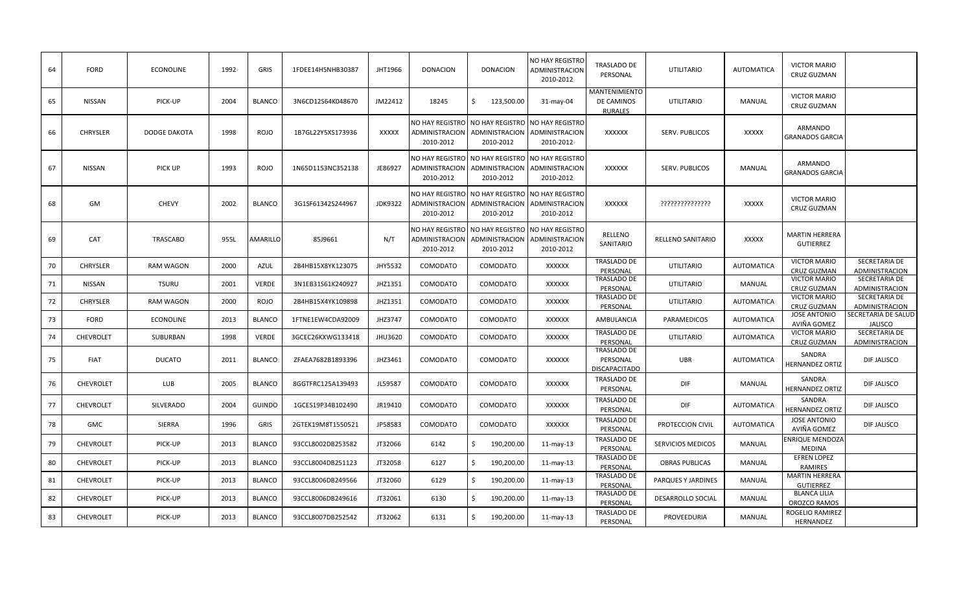| 64     | <b>FORD</b>      | <b>ECONOLINE</b>    | 1992 | GRIS          | 1FDEE14H5NHB30387 | JHT1966        | <b>DONACION</b>                                | <b>DONACION</b>                                                                | NO HAY REGISTRO<br><b>ADMINISTRACION</b><br>2010-2012 | TRASLADO DE<br>PERSONAL                         | <b>UTILITARIO</b>        | AUTOMATICA        | <b>VICTOR MARIO</b><br><b>CRUZ GUZMAN</b> |                                        |
|--------|------------------|---------------------|------|---------------|-------------------|----------------|------------------------------------------------|--------------------------------------------------------------------------------|-------------------------------------------------------|-------------------------------------------------|--------------------------|-------------------|-------------------------------------------|----------------------------------------|
| 65     | NISSAN           | PICK-UP             | 2004 | <b>BLANCO</b> | 3N6CD12S64K048670 | JM22412        | 18245                                          | Ś.<br>123,500.00                                                               | 31-may-04                                             | MANTENIMIENTO<br>DE CAMINOS<br><b>RURALES</b>   | <b>UTILITARIO</b>        | MANUAL            | <b>VICTOR MARIO</b><br>CRUZ GUZMAN        |                                        |
| 66     | <b>CHRYSLER</b>  | <b>DODGE DAKOTA</b> | 1998 | <b>ROJO</b>   | 1B7GL22Y5XS173936 | XXXXX          | ADMINISTRACION<br>2010-2012                    | NO HAY REGISTRO NO HAY REGISTRO NO HAY REGISTRO<br>ADMINISTRACION<br>2010-2012 | ADMINISTRACION<br>2010-2012                           | <b>XXXXXX</b>                                   | SERV. PUBLICOS           | <b>XXXXX</b>      | ARMANDO<br><b>GRANADOS GARCIA</b>         |                                        |
| 67     | NISSAN           | PICK UP             | 1993 | <b>ROJO</b>   | 1N65D1153NC352138 | JE86927        | NO HAY REGISTRO<br>ADMINISTRACION<br>2010-2012 | NO HAY REGISTRO<br>ADMINISTRACION<br>2010-2012                                 | <b>NO HAY REGISTRO</b><br>ADMINISTRACION<br>2010-2012 | XXXXXX                                          | SERV. PUBLICOS           | MANUAL            | ARMANDO<br><b>GRANADOS GARCIA</b>         |                                        |
| 68     | GM               | <b>CHEVY</b>        | 2002 | <b>BLANCO</b> | 3G1SF61342S244967 | <b>JDK9322</b> | NO HAY REGISTRO<br>ADMINISTRACION<br>2010-2012 | NO HAY REGISTRO NO HAY REGISTRO<br>ADMINISTRACION<br>2010-2012                 | ADMINISTRACION<br>2010-2012                           | <b>XXXXXX</b>                                   | ????????????????         | <b>XXXXX</b>      | <b>VICTOR MARIO</b><br>CRUZ GUZMAN        |                                        |
| 69     | CAT              | <b>TRASCABO</b>     | 955L | AMARILLO      | 85J9661           | N/T            | NO HAY REGISTRO<br>ADMINISTRACION<br>2010-2012 | NO HAY REGISTRO<br>ADMINISTRACION<br>2010-2012                                 | <b>NO HAY REGISTRO</b><br>ADMINISTRACION<br>2010-2012 | RELLENO<br>SANITARIO                            | RELLENO SANITARIO        | <b>XXXXX</b>      | <b>MARTIN HERRERA</b><br>GUTIERREZ        |                                        |
| 70     | <b>CHRYSLER</b>  | <b>RAM WAGON</b>    | 2000 | <b>AZUL</b>   | 2B4HB15X8YK123075 | JHY5532        | COMODATO                                       | COMODATO                                                                       | <b>XXXXXX</b>                                         | TRASLADO DE<br>PERSONAL                         | <b>UTILITARIO</b>        | <b>AUTOMATICA</b> | <b>VICTOR MARIO</b><br><b>CRUZ GUZMAN</b> | SECRETARIA DE<br>ADMINISTRACION        |
| 71     | NISSAN           | <b>TSURU</b>        | 2001 | <b>VERDE</b>  | 3N1EB31S61K240927 | JHZ1351        | COMODATO                                       | COMODATO                                                                       | <b>XXXXXX</b>                                         | TRASLADO DE<br>PERSONAL                         | <b>UTILITARIO</b>        | <b>MANUAL</b>     | <b>VICTOR MARIO</b><br><b>CRUZ GUZMAN</b> | SECRETARIA DE<br><b>ADMINISTRACION</b> |
| $72\,$ | <b>CHRYSLER</b>  | <b>RAM WAGON</b>    | 2000 | <b>ROJO</b>   | 2B4HB15X4YK109898 | JHZ1351        | COMODATO                                       | COMODATO                                                                       | <b>XXXXXX</b>                                         | TRASLADO DE<br>PERSONAL                         | <b>UTILITARIO</b>        | <b>AUTOMATICA</b> | <b>VICTOR MARIO</b><br><b>CRUZ GUZMAN</b> | SECRETARIA DE<br>ADMINISTRACION        |
| 73     | <b>FORD</b>      | <b>ECONOLINE</b>    | 2013 | <b>BLANCO</b> | 1FTNE1EW4CDA92009 | JHZ3747        | <b>COMODATO</b>                                | COMODATO                                                                       | <b>XXXXXX</b>                                         | AMBULANCIA                                      | PARAMEDICOS              | <b>AUTOMATICA</b> | <b>JOSE ANTONIO</b><br>AVIÑA GOMEZ        | SECRETARIA DE SALUD<br><b>JALISCO</b>  |
| 74     | <b>CHEVROLET</b> | SUBURBAN            | 1998 | <b>VERDE</b>  | 3GCEC26KXWG133418 | JHU3620        | <b>COMODATO</b>                                | COMODATO                                                                       | <b>XXXXXX</b>                                         | TRASLADO DE<br>PERSONAL                         | <b>UTILITARIO</b>        | AUTOMATICA        | <b>VICTOR MARIO</b><br><b>CRUZ GUZMAN</b> | SECRETARIA DE<br>ADMINISTRACION        |
| 75     | <b>FIAT</b>      | <b>DUCATO</b>       | 2011 | <b>BLANCO</b> | ZFAEA7682B1893396 | JHZ3461        | COMODATO                                       | COMODATO                                                                       | <b>XXXXXX</b>                                         | TRASLADO DE<br>PERSONAL<br><b>DISCAPACITADO</b> | <b>UBR</b>               | <b>AUTOMATICA</b> | SANDRA<br><b>HERNANDEZ ORTIZ</b>          | DIF JALISCO                            |
| 76     | <b>CHEVROLET</b> | LUB                 | 2005 | BLANCO        | 8GGTFRC125A139493 | JL59587        | <b>COMODATO</b>                                | COMODATO                                                                       | <b>XXXXXX</b>                                         | <b>TRASLADO DE</b><br>PERSONAL                  | DIF                      | MANUAL            | SANDRA<br><b>HERNANDEZ ORTIZ</b>          | DIF JALISCO                            |
| 77     | <b>CHEVROLET</b> | SILVERADO           | 2004 | <b>GUINDO</b> | 1GCES19P34B102490 | JR19410        | COMODATO                                       | COMODATO                                                                       | <b>XXXXXX</b>                                         | <b>TRASLADO DE</b><br>PERSONAL                  | DIF                      | AUTOMATICA        | SANDRA<br><b>HERNANDEZ ORTIZ</b>          | DIF JALISCO                            |
| 78     | <b>GMC</b>       | SIERRA              | 1996 | GRIS          | 2GTEK19M8T1550521 | JP58583        | COMODATO                                       | COMODATO                                                                       | <b>XXXXXX</b>                                         | TRASLADO DE<br>PERSONAL                         | PROTECCION CIVIL         | <b>AUTOMATICA</b> | <b>JOSE ANTONIO</b><br>AVIÑA GOMEZ        | DIF JALISCO                            |
| 79     | <b>CHEVROLET</b> | PICK-UP             | 2013 | <b>BLANCO</b> | 93CCL8002DB253582 | JT32066        | 6142                                           | Ś.<br>190,200.00                                                               | $11$ -may-13                                          | <b>TRASLADO DE</b><br>PERSONAL                  | <b>SERVICIOS MEDICOS</b> | MANUAL            | ENRIQUE MENDOZA<br><b>MEDINA</b>          |                                        |
| 80     | <b>CHEVROLET</b> | PICK-UP             | 2013 | <b>BLANCO</b> | 93CCL8004DB251123 | JT32058        | 6127                                           | Ŝ.<br>190,200.00                                                               | $11$ -may-13                                          | <b>TRASLADO DE</b><br>PERSONAL                  | <b>OBRAS PUBLICAS</b>    | <b>MANUAL</b>     | <b>EFREN LOPEZ</b><br>RAMIRES             |                                        |
| 81     | <b>CHEVROLET</b> | PICK-UP             | 2013 | <b>BLANCO</b> | 93CCL8006DB249566 | JT32060        | 6129                                           | Ś.<br>190,200.00                                                               | $11$ -may-13                                          | TRASLADO DE<br>PERSONAL                         | PARQUES Y JARDINES       | MANUAL            | <b>MARTIN HERRERA</b><br><b>GUTIERREZ</b> |                                        |
| 82     | <b>CHEVROLET</b> | PICK-UP             | 2013 | <b>BLANCO</b> | 93CCL8006DB249616 | JT32061        | 6130                                           | Ŝ.<br>190,200.00                                                               | $11$ -may-13                                          | TRASLADO DE<br>PERSONAL                         | DESARROLLO SOCIAL        | MANUAL            | <b>BLANCA LILIA</b><br>OROZCO RAMOS       |                                        |
| 83     | <b>CHEVROLET</b> | PICK-UP             | 2013 | <b>BLANCO</b> | 93CCL8007DB252542 | JT32062        | 6131                                           | Ŝ.<br>190,200.00                                                               | $11$ -may-13                                          | TRASLADO DE<br>PERSONAL                         | PROVEEDURIA              | <b>MANUAL</b>     | ROGELIO RAMIREZ<br>HERNANDEZ              |                                        |